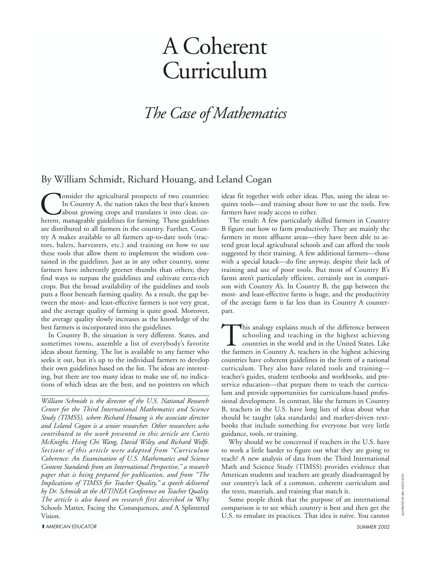# A Coherent Curriculum

## *The Case of Mathematics*

#### By William Schmidt, Richard Houang, and Leland Cogan

**Nonsider the agricultural prospects of two countries:** In Country A, the nation takes the best that's known About growing crops and translates it into clear, coherent, manageable guidelines for farming. These guidelines are distributed to all farmers in the country. Further, Country A makes available to all farmers up-to-date tools (tractors, balers, harvesters, etc.) and training on how to use these tools that allow them to implement the wisdom contained in the guidelines. Just as in any other country, some farmers have inherently greener thumbs than others; they find ways to surpass the guidelines and cultivate extra-rich crops. But the broad availability of the guidelines and tools puts a floor beneath farming quality. As a result, the gap between the most- and least-effective farmers is not very great, and the average quality of farming is quite good. Moreover, the average quality slowly increases as the knowledge of the best farmers is incorporated into the guidelines.

In Country B, the situation is very different. States, and sometimes towns, assemble a list of everybody's favorite ideas about farming. The list is available to any farmer who seeks it out, but it's up to the individual farmers to develop their own guidelines based on the list. The ideas are interesting, but there are too many ideas to make use of, no indications of which ideas are the best, and no pointers on which

*William Schmidt is the director of the U.S. National Research Center for the Third International Mathematics and Science Study (TIMSS), where Richard Houang is the associate director and Leland Cogan is a senior researcher. Other researchers who contributed to the work presented in this article are Curtis McKnight, Hsing Chi Wang, David Wiley, and Richard Wolfe. Sections of this article were adapted from "Curriculum Coherence: An Examination of U.S. Mathematics and Science Content Standards from an International Perspective," a research paper that is being prepared for publication, and from "The Implications of TIMSS for Teacher Quality," a speech delivered by Dr. Schmidt at the AFT/NEA Conference on Teacher Quality. The article is also based on research first described in* Why Schools Matter, Facing the Consequences, *and* A Splintered Vision.

ideas fit together with other ideas. Plus, using the ideas requires tools—and training about how to use the tools. Few farmers have ready access to either.

The result: A few particularly skilled farmers in Country B figure out how to farm productively. They are mainly the farmers in more affluent areas—they have been able to attend great local agricultural schools and can afford the tools suggested by their training. A few additional farmers—those with a special knack—do fine anyway, despite their lack of training and use of poor tools. But most of Country B's farms aren't particularly efficient, certainly not in comparison with Country A's. In Country B, the gap between the most- and least-effective farms is huge, and the productivity of the average farm is far less than its Country A counterpart.

This analogy explains much of the difference between schooling and teaching in the highest achieving countries in the world and in the United States. Like the farmers in Country A, teachers in the highest achieving schooling and teaching in the highest achieving countries in the world and in the United States. Like countries have coherent guidelines in the form of a national curriculum. They also have related tools and training teacher's guides, student textbooks and workbooks, and preservice education—that prepare them to teach the curriculum and provide opportunities for curriculum-based professional development. In contrast, like the farmers in Country B, teachers in the U.S. have long lists of ideas about what should be taught (aka standards) and market-driven textbooks that include something for everyone but very little guidance, tools, or training.

Why should we be concerned if teachers in the U.S. have to work a little harder to figure out what they are going to teach? A new analysis of data from the Third International Math and Science Study (TIMSS) provides evidence that American students and teachers are greatly disadvantaged by our country's lack of a common, coherent curriculum and the texts, materials, and training that match it.

Some people think that the purpose of an international comparison is to see which country is best and then get the U.S. to emulate its practices. That idea is naïve. You cannot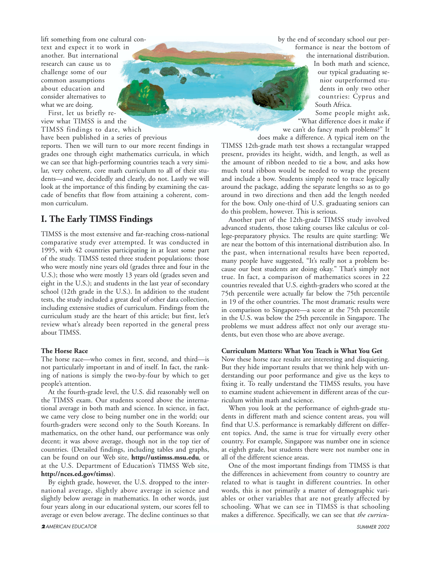lift something from one cultural context and expect it to work in another. But international research can cause us to challenge some of our common assumptions about education and consider alternatives to what we are doing.

First, let us briefly review what TIMSS is and the TIMSS findings to date, which

have been published in a series of previous

reports. Then we will turn to our more recent findings in grades one through eight mathematics curricula, in which we can see that high-performing countries teach a very similar, very coherent, core math curriculum to all of their students—and we, decidedly and clearly, do not. Lastly we will look at the importance of this finding by examining the cascade of benefits that flow from attaining a coherent, common curriculum.

#### **I. The Early TIMSS Findings**

TIMSS is the most extensive and far-reaching cross-national comparative study ever attempted. It was conducted in 1995, with 42 countries participating in at least some part of the study. TIMSS tested three student populations: those who were mostly nine years old (grades three and four in the U.S.); those who were mostly 13 years old (grades seven and eight in the U.S.); and students in the last year of secondary school (12th grade in the U.S.). In addition to the student tests, the study included a great deal of other data collection, including extensive studies of curriculum. Findings from the curriculum study are the heart of this article; but first, let's review what's already been reported in the general press about TIMSS.

#### **The Horse Race**

The horse race—who comes in first, second, and third—is not particularly important in and of itself. In fact, the ranking of nations is simply the two-by-four by which to get people's attention.

At the fourth-grade level, the U.S. did reasonably well on the TIMSS exam. Our students scored above the international average in both math and science. In science, in fact, we came very close to being number one in the world; our fourth-graders were second only to the South Koreans. In mathematics, on the other hand, our performance was only decent; it was above average, though not in the top tier of countries. (Detailed findings, including tables and graphs, can be found on our Web site, **http://ustimss.msu.edu***,* or at the U.S. Department of Education's TIMSS Web site, **http://nces.ed.gov/timss**).

By eighth grade, however, the U.S. dropped to the international average, slightly above average in science and slightly below average in mathematics. In other words, just four years along in our educational system, our scores fell to average or even below average. The decline continues so that by the end of secondary school our performance is near the bottom of the international distribution. In both math and science, our typical graduating senior outperformed students in only two other countries: Cyprus and South Africa.

Some people might ask, "What difference does it make if we can't do fancy math problems?" It

does make a difference. A typical item on the TIMSS 12th-grade math test shows a rectangular wrapped present, provides its height, width, and length, as well as the amount of ribbon needed to tie a bow, and asks how much total ribbon would be needed to wrap the present and include a bow. Students simply need to trace logically around the package, adding the separate lengths so as to go around in two directions and then add the length needed for the bow. Only one-third of U.S. graduating seniors can do this problem, however. This is serious.

Another part of the 12th-grade TIMSS study involved advanced students, those taking courses like calculus or college-preparatory physics. The results are quite startling: We are near the bottom of this international distribution also. In the past, when international results have been reported, many people have suggested, "It's really not a problem because our best students are doing okay." That's simply not true. In fact, a comparison of mathematics scores in 22 countries revealed that U.S. eighth-graders who scored at the 75th percentile were actually far below the 75th percentile in 19 of the other countries. The most dramatic results were in comparison to Singapore—a score at the 75th percentile in the U.S. was below the 25th percentile in Singapore. The problems we must address affect not only our average students, but even those who are above average.

#### **Curriculum Matters: What You Teach is What You Get**

Now these horse race results are interesting and disquieting. But they hide important results that we think help with understanding our poor performance and give us the keys to fixing it. To really understand the TIMSS results, you have to examine student achievement in different areas of the curriculum within math and science.

When you look at the performance of eighth-grade students in different math and science content areas, you will find that U.S. performance is remarkably different on different topics. And, the same is true for virtually every other country. For example, Singapore was number one in science at eighth grade, but students there were not number one in all of the different science areas.

One of the most important findings from TIMSS is that the differences in achievement from country to country are related to what is taught in different countries. In other words, this is not primarily a matter of demographic variables or other variables that are not greatly affected by schooling. What we can see in TIMSS is that schooling makes a difference. Specifically, we can see that *the curricu-*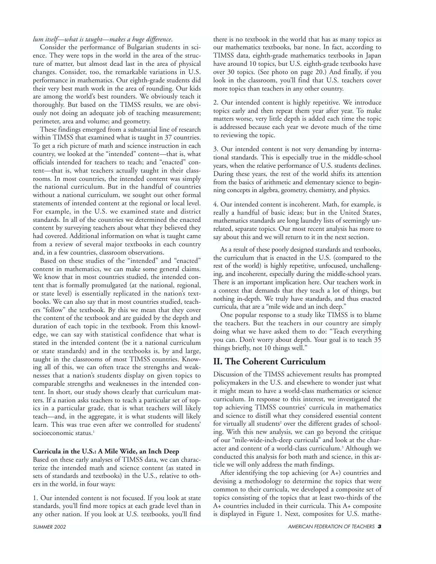#### *lum itself—what is taught—makes a huge difference*.

Consider the performance of Bulgarian students in science. They were tops in the world in the area of the structure of matter, but almost dead last in the area of physical changes. Consider, too, the remarkable variations in U.S. performance in mathematics. Our eighth-grade students did their very best math work in the area of rounding. Our kids are among the world's best rounders. We obviously teach it thoroughly. But based on the TIMSS results, we are obviously not doing an adequate job of teaching measurement; perimeter, area and volume; and geometry.

These findings emerged from a substantial line of research within TIMSS that examined what is taught in 37 countries. To get a rich picture of math and science instruction in each country, we looked at the "intended" content—that is, what officials intended for teachers to teach; and "enacted" content—that is, what teachers actually taught in their classrooms. In most countries, the intended content was simply the national curriculum. But in the handful of countries without a national curriculum, we sought out other formal statements of intended content at the regional or local level. For example, in the U.S. we examined state and district standards. In all of the countries we determined the enacted content by surveying teachers about what they believed they had covered. Additional information on what is taught came from a review of several major textbooks in each country and, in a few countries, classroom observations.

Based on these studies of the "intended" and "enacted" content in mathematics, we can make some general claims. We know that in most countries studied, the intended content that is formally promulgated (at the national, regional, or state level) is essentially replicated in the nation's textbooks. We can also say that in most countries studied, teachers "follow" the textbook. By this we mean that they cover the content of the textbook and are guided by the depth and duration of each topic in the textbook. From this knowledge, we can say with statistical confidence that what is stated in the intended content (be it a national curriculum or state standards) and in the textbooks is, by and large, taught in the classrooms of most TIMSS countries. Knowing all of this, we can often trace the strengths and weaknesses that a nation's students display on given topics to comparable strengths and weaknesses in the intended content. In short, our study shows clearly that curriculum matters. If a nation asks teachers to teach a particular set of topics in a particular grade, that is what teachers will likely teach—and, in the aggregate, it is what students will likely learn. This was true even after we controlled for students' socioeconomic status.<sup>1</sup>

#### **Curricula in the U.S.: A Mile Wide, an Inch Deep**

Based on these early analyses of TIMSS data, we can characterize the intended math and science content (as stated in sets of standards and textbooks) in the U.S., relative to others in the world, in four ways:

1. Our intended content is not focused. If you look at state standards, you'll find more topics at each grade level than in any other nation. If you look at U.S. textbooks, you'll find

there is no textbook in the world that has as many topics as our mathematics textbooks, bar none. In fact, according to TIMSS data, eighth-grade mathematics textbooks in Japan have around 10 topics, but U.S. eighth-grade textbooks have over 30 topics. (See photo on page 20.) And finally, if you look in the classroom, you'll find that U.S. teachers cover more topics than teachers in any other country.

2. Our intended content is highly repetitive. We introduce topics early and then repeat them year after year. To make matters worse, very little depth is added each time the topic is addressed because each year we devote much of the time to reviewing the topic.

3. Our intended content is not very demanding by international standards. This is especially true in the middle-school years, when the relative performance of U.S. students declines. During these years, the rest of the world shifts its attention from the basics of arithmetic and elementary science to beginning concepts in algebra, geometry, chemistry, and physics.

4. Our intended content is incoherent. Math, for example, is really a handful of basic ideas; but in the United States, mathematics standards are long laundry lists of seemingly unrelated, separate topics. Our most recent analysis has more to say about this and we will return to it in the next section.

As a result of these poorly designed standards and textbooks, the curriculum that is enacted in the U.S. (compared to the rest of the world) is highly repetitive, unfocused, unchallenging, and incoherent, especially during the middle-school years. There is an important implication here. Our teachers work in a context that demands that they teach a lot of things, but nothing in-depth. We truly have standards, and thus enacted curricula, that are a "mile wide and an inch deep."

One popular response to a study like TIMSS is to blame the teachers. But the teachers in our country are simply doing what we have asked them to do: "Teach everything you can. Don't worry about depth. Your goal is to teach 35 things briefly, not 10 things well."

#### **II. The Coherent Curriculum**

Discussion of the TIMSS achievement results has prompted policymakers in the U.S. and elsewhere to wonder just what it might mean to have a world-class mathematics or science curriculum. In response to this interest, we investigated the top achieving TIMSS countries' curricula in mathematics and science to distill what they considered essential content for virtually all students<sup>2</sup> over the different grades of schooling. With this new analysis, we can go beyond the critique of our "mile-wide-inch-deep curricula" and look at the character and content of a world-class curriculum.<sup>3</sup> Although we conducted this analysis for both math and science, in this article we will only address the math findings.

After identifying the top achieving (or A+) countries and devising a methodology to determine the topics that were common to their curricula, we developed a composite set of topics consisting of the topics that at least two-thirds of the A+ countries included in their curricula. This A+ composite is displayed in Figure 1. Next, composites for U.S. mathe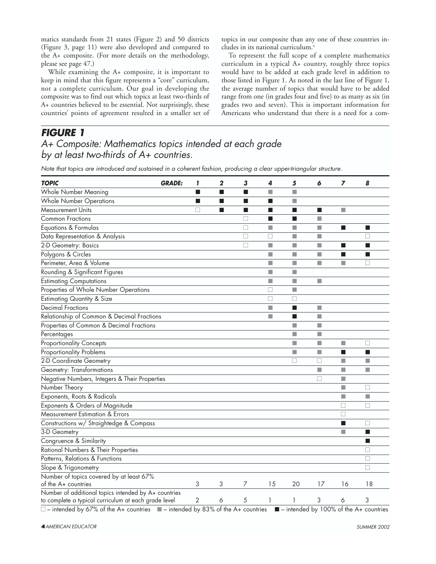matics standards from 21 states (Figure 2) and 50 districts (Figure 3, page 11) were also developed and compared to the A+ composite. (For more details on the methodology, please see page 47.)

While examining the A+ composite, it is important to keep in mind that this figure represents a "core" curriculum, not a complete curriculum. Our goal in developing the composite was to find out which topics at least two-thirds of A+ countries believed to be essential. Not surprisingly, these countries' points of agreement resulted in a smaller set of

topics in our composite than any one of these countries includes in its national curriculum.4

To represent the full scope of a complete mathematics curriculum in a typical A+ country, roughly three topics would have to be added at each grade level in addition to those listed in Figure 1. As noted in the last line of Figure 1, the average number of topics that would have to be added range from one (in grades four and five) to as many as six (in grades two and seven). This is important information for Americans who understand that there is a need for a com-

#### *FIGURE 1*

*A+ Composite: Mathematics topics intended at each grade by at least two-thirds of A+ countries.*

*Note that topics are introduced and sustained in a coherent fashion, producing a clear upper-triangular structure.*

| <b>TOPIC</b><br><b>GRADE:</b>                                                                                                                                                                                                                                    | 1              | 2              | 3          | 4              | 5              | 6  | 7              | 8      |
|------------------------------------------------------------------------------------------------------------------------------------------------------------------------------------------------------------------------------------------------------------------|----------------|----------------|------------|----------------|----------------|----|----------------|--------|
| Whole Number Meaning                                                                                                                                                                                                                                             | ▉              | $\blacksquare$ | П          | m.             | H              |    |                |        |
| <b>Whole Number Operations</b>                                                                                                                                                                                                                                   | ■              | ■              | ■          | ▉              | H.             |    |                |        |
| <b>Measurement Units</b>                                                                                                                                                                                                                                         | П              | П              | П          | $\blacksquare$ | $\blacksquare$ | П  | ×              |        |
| Common Fractions                                                                                                                                                                                                                                                 |                |                | П          | $\blacksquare$ | ■              | П  |                |        |
| Equations & Formulas                                                                                                                                                                                                                                             |                |                | $\Box$     | n.             | П              | H  | ■              | ■      |
| Data Representation & Analysis                                                                                                                                                                                                                                   |                |                | $\Box$     | П              | П              | П  |                | П      |
| 2-D Geometry: Basics                                                                                                                                                                                                                                             |                |                | $\Box$     | m.             | П              | П  | ■              | ■      |
| Polygons & Circles                                                                                                                                                                                                                                               |                |                |            | П              | П              | П  | ■              | ▄      |
| Perimeter, Area & Volume                                                                                                                                                                                                                                         |                |                |            | П              | П              | П  | п              | П      |
| Rounding & Significant Figures                                                                                                                                                                                                                                   |                |                |            | П              | П              |    |                |        |
| <b>Estimating Computations</b>                                                                                                                                                                                                                                   |                |                |            | m.             | П              | П  |                |        |
| Properties of Whole Number Operations                                                                                                                                                                                                                            |                |                |            | П              | П              |    |                |        |
| <b>Estimating Quantity &amp; Size</b>                                                                                                                                                                                                                            |                |                |            | П              | □              |    |                |        |
| <b>Decimal Fractions</b>                                                                                                                                                                                                                                         |                |                |            | п              | П              | H  |                |        |
| Relationship of Common & Decimal Fractions                                                                                                                                                                                                                       |                |                |            | n.             | П              | П  |                |        |
| Properties of Common & Decimal Fractions                                                                                                                                                                                                                         |                |                |            |                | ×              | П  |                |        |
| Percentages                                                                                                                                                                                                                                                      |                |                |            |                | П              | П  |                |        |
| <b>Proportionality Concepts</b>                                                                                                                                                                                                                                  |                |                |            |                | П              | П  | H              | □      |
| <b>Proportionality Problems</b>                                                                                                                                                                                                                                  |                |                |            |                | П              | m. | $\blacksquare$ | ■      |
| 2-D Coordinate Geometry                                                                                                                                                                                                                                          |                |                |            |                | $\Box$         | П  | H              | T.     |
| Geometry: Transformations                                                                                                                                                                                                                                        |                |                |            |                |                | m. | H              | П      |
| Negative Numbers, Integers & Their Properties                                                                                                                                                                                                                    |                |                |            |                |                | П  | ×              |        |
| Number Theory                                                                                                                                                                                                                                                    |                |                |            |                |                |    | H              | $\Box$ |
| Exponents, Roots & Radicals                                                                                                                                                                                                                                      |                |                |            |                |                |    | ×              | ×      |
| Exponents & Orders of Magnitude                                                                                                                                                                                                                                  |                |                |            |                |                |    |                | П      |
| Measurement Estimation & Errors                                                                                                                                                                                                                                  |                |                |            |                |                |    | П              |        |
| Constructions w/ Straightedge & Compass                                                                                                                                                                                                                          |                |                |            |                |                |    | ■              | П      |
| 3-D Geometry                                                                                                                                                                                                                                                     |                |                |            |                |                |    | H              | П      |
| Congruence & Similarity                                                                                                                                                                                                                                          |                |                |            |                |                |    |                | ш      |
| Rational Numbers & Their Properties                                                                                                                                                                                                                              |                |                |            |                |                |    |                | П      |
| Patterns, Relations & Functions                                                                                                                                                                                                                                  |                |                |            |                |                |    |                | П      |
| Slope & Trigonometry                                                                                                                                                                                                                                             |                |                |            |                |                |    |                | П      |
| Number of topics covered by at least 67%                                                                                                                                                                                                                         |                |                |            |                |                |    |                |        |
| of the A+ countries                                                                                                                                                                                                                                              | 3              | 3              | 7          | 15             | 20             | 17 | 16             | 18     |
| Number of additional topics intended by A+ countries<br>to complete a typical curriculum at each grade level<br>$\overline{1}$ intended by 67% of the Augustine $\overline{1}$ intended by 92% of the Augustine $\overline{1}$ intended by 100% of the Augustine | $\overline{2}$ | 6              | $\sqrt{5}$ | 1              | 1              | 3  | 6              | 3      |

– intended by 67% of the A+ countries ■ – intended by 83% of the A+ countries ■ – intended by 100% of the A+ countries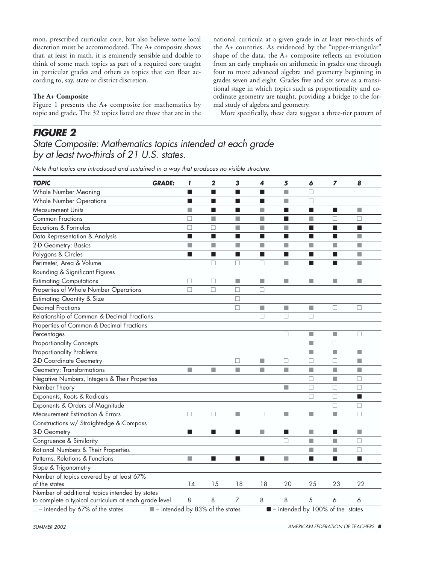mon, prescribed curricular core, but also believe some local discretion must be accommodated. The A+ composite shows that, at least in math, it is eminently sensible and doable to think of some math topics as part of a required core taught in particular grades and others as topics that can float according to, say, state or district discretion.

#### **The A+ Composite**

Figure 1 presents the A+ composite for mathematics by topic and grade. The 32 topics listed are those that are in the national curricula at a given grade in at least two-thirds of the A+ countries. As evidenced by the "upper-triangular" shape of the data, the A+ composite reflects an evolution from an early emphasis on arithmetic in grades one through four to more advanced algebra and geometry beginning in grades seven and eight. Grades five and six serve as a transitional stage in which topics such as proportionality and coordinate geometry are taught, providing a bridge to the formal study of algebra and geometry.

More specifically, these data suggest a three-tier pattern of

#### *FIGURE 2*

#### *State Composite: Mathematics topics intended at each grade by at least two-thirds of 21 U.S. states.*

*Note that topics are introduced and sustained in a way that produces no visible structure.*

| <b>TOPIC</b>                                         | <b>GRADE:</b> | 1                                                                                                    | $\boldsymbol{2}$ | 3              | 4              | 5              | 6              | $\overline{z}$ | 8      |
|------------------------------------------------------|---------------|------------------------------------------------------------------------------------------------------|------------------|----------------|----------------|----------------|----------------|----------------|--------|
| Whole Number Meaning                                 |               | ■                                                                                                    | П                | ■              | ■              | m.             | П              |                |        |
| <b>Whole Number Operations</b>                       |               | П                                                                                                    | $\blacksquare$   | $\blacksquare$ | П              | m.             | П              |                |        |
| <b>Measurement Units</b>                             |               | H.                                                                                                   | П                | $\blacksquare$ | ×              | ■              | $\blacksquare$ | П              | m.     |
| <b>Common Fractions</b>                              |               | П                                                                                                    | П                | T.             | ×              | $\blacksquare$ | ×              | □              | □      |
| Equations & Formulas                                 |               | □                                                                                                    | $\Box$           | T.             | H              | T.             | $\blacksquare$ | $\blacksquare$ | П      |
| Data Representation & Analysis                       |               | <b>In</b>                                                                                            | ■                | ■              | ■              | п              | $\blacksquare$ | п              | п      |
| 2-D Geometry: Basics                                 |               | m.                                                                                                   | m.               | m.             | ×              | T.             | ×              | ×              | m.     |
| Polygons & Circles                                   |               | П                                                                                                    | $\blacksquare$   | $\blacksquare$ | $\blacksquare$ | П              | $\Box$         | ш              | T.     |
| Perimeter, Area & Volume                             |               |                                                                                                      | $\Box$           | □              | □              | T.             | $\Box$         | $\blacksquare$ | T.     |
| Rounding & Significant Figures                       |               |                                                                                                      |                  |                |                |                |                |                |        |
| <b>Estimating Computations</b>                       |               | П                                                                                                    | П                | ×.             | H              | T.             | T.             | ×              | T.     |
| Properties of Whole Number Operations                |               | П                                                                                                    | $\Box$           | □              | □              |                |                |                |        |
| <b>Estimating Quantity &amp; Size</b>                |               |                                                                                                      |                  | П              |                |                |                |                |        |
| <b>Decimal Fractions</b>                             |               |                                                                                                      |                  | $\Box$         | ×              | m.             | H              | □              | □      |
| Relationship of Common & Decimal Fractions           |               |                                                                                                      |                  |                | □              | $\Box$         | □              |                |        |
| Properties of Common & Decimal Fractions             |               |                                                                                                      |                  |                |                |                |                |                |        |
| Percentages                                          |               |                                                                                                      |                  |                |                | $\Box$         | п              | П              | □      |
| <b>Proportionality Concepts</b>                      |               |                                                                                                      |                  |                |                |                |                | □              |        |
| <b>Proportionality Problems</b>                      |               |                                                                                                      |                  |                |                |                | п              | П              | m.     |
| 2-D Coordinate Geometry                              |               |                                                                                                      |                  | П              | п              | □              | П              | П              | m.     |
| Geometry: Transformations                            |               | H.                                                                                                   | П                | m.             | T.             | п              | ×              | ×              | T.     |
| Negative Numbers, Integers & Their Properties        |               |                                                                                                      |                  |                |                |                | П              | П              | □      |
| Number Theory                                        |               |                                                                                                      |                  |                |                | п              | $\Box$         | □              | □      |
| Exponents, Roots & Radicals                          |               |                                                                                                      |                  |                |                |                | П              | □              | П      |
| Exponents & Orders of Magnitude                      |               |                                                                                                      |                  |                |                |                |                | П              | $\Box$ |
| Measurement Estimation & Errors                      |               | П                                                                                                    | П                | T.             | П              | m.             | п              | T.             | $\Box$ |
| Constructions w/ Straightedge & Compass              |               |                                                                                                      |                  |                |                |                |                |                |        |
| 3-D Geometry                                         |               |                                                                                                      |                  | $\blacksquare$ | T.             | П              | п              | ■              | n.     |
| Congruence & Similarity                              |               |                                                                                                      |                  |                |                | $\Box$         | п              | T.             | П      |
| Rational Numbers & Their Properties                  |               |                                                                                                      |                  |                |                |                | ×              | H              | $\Box$ |
| Patterns, Relations & Functions                      |               | H.                                                                                                   | П                | ■              | ■              | m.             | $\blacksquare$ | П              | П      |
| Slope & Trigonometry                                 |               |                                                                                                      |                  |                |                |                |                |                |        |
| Number of topics covered by at least 67%             |               |                                                                                                      |                  |                |                |                |                |                |        |
| of the states                                        |               | 14                                                                                                   | 15               | 18             | 18             | 20             | 25             | 23             | 22     |
| Number of additional topics intended by states       |               |                                                                                                      |                  |                |                |                |                |                |        |
| to complete a typical curriculum at each grade level |               | 8                                                                                                    | 8                | 7              | 8              | 8              | 5              | 6              | 6      |
| $\Box$ – intended by 67% of the states               |               | - intended by 100% of the states<br>$\blacksquare$ - intended by 83% of the states<br>$\blacksquare$ |                  |                |                |                |                |                |        |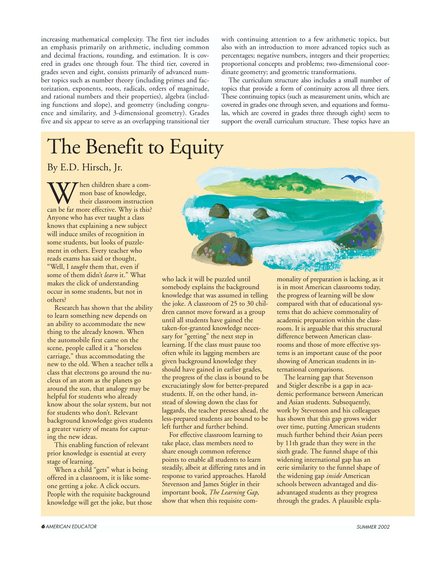increasing mathematical complexity. The first tier includes an emphasis primarily on arithmetic, including common and decimal fractions, rounding, and estimation. It is covered in grades one through four. The third tier, covered in grades seven and eight, consists primarily of advanced number topics such as number theory (including primes and factorization, exponents, roots, radicals, orders of magnitude, and rational numbers and their properties), algebra (including functions and slope), and geometry (including congruence and similarity, and 3-dimensional geometry). Grades five and six appear to serve as an overlapping transitional tier

with continuing attention to a few arithmetic topics, but also with an introduction to more advanced topics such as percentages; negative numbers, integers and their properties; proportional concepts and problems; two-dimensional coordinate geometry; and geometric transformations.

The curriculum structure also includes a small number of topics that provide a form of continuity across all three tiers. These continuing topics (such as measurement units, which are covered in grades one through seven, and equations and formulas, which are covered in grades three through eight) seem to support the overall curriculum structure. These topics have an

# The Benefit to Equity

By E.D. Hirsch, Jr.

When children share a com-<br>mon base of knowledge,<br>can be far more effective. Why is this? mon base of knowledge, their classroom instruction Anyone who has ever taught a class knows that explaining a new subject will induce smiles of recognition in some students, but looks of puzzlement in others. Every teacher who reads exams has said or thought, "Well, I *taught* them that, even if some of them didn't *learn* it." What makes the click of understanding occur in some students, but not in others?

Research has shown that the ability to learn something new depends on an ability to accommodate the new thing to the already known. When the automobile first came on the scene, people called it a "horseless carriage," thus accommodating the new to the old. When a teacher tells a class that electrons go around the nucleus of an atom as the planets go around the sun, that analogy may be helpful for students who already know about the solar system, but not for students who don't. Relevant background knowledge gives students a greater variety of means for capturing the new ideas.

This enabling function of relevant prior knowledge is essential at every stage of learning.

When a child "gets" what is being offered in a classroom, it is like someone getting a joke. A click occurs. People with the requisite background knowledge will get the joke, but those



who lack it will be puzzled until somebody explains the background knowledge that was assumed in telling the joke. A classroom of 25 to 30 children cannot move forward as a group until all students have gained the taken-for-granted knowledge necessary for "getting" the next step in learning. If the class must pause too often while its lagging members are given background knowledge they should have gained in earlier grades, the progress of the class is bound to be excruciatingly slow for better-prepared students. If, on the other hand, instead of slowing down the class for laggards, the teacher presses ahead, the less-prepared students are bound to be left further and further behind.

For effective classroom learning to take place, class members need to share enough common reference points to enable all students to learn steadily, albeit at differing rates and in response to varied approaches. Harold Stevenson and James Stigler in their important book, *The Learning Gap,* show that when this requisite com-

monality of preparation is lacking, as it is in most American classrooms today, the progress of learning will be slow compared with that of educational systems that do achieve commonality of academic preparation within the classroom. It is arguable that this structural difference between American classrooms and those of more effective systems is an important cause of the poor showing of American students in international comparisons.

The learning gap that Stevenson and Stigler describe is a gap in academic performance between American and Asian students. Subsequently, work by Stevenson and his colleagues has shown that this gap grows wider over time, putting American students much further behind their Asian peers by 11th grade than they were in the sixth grade. The funnel shape of this widening international gap has an eerie similarity to the funnel shape of the widening gap *inside* American schools between advantaged and disadvantaged students as they progress through the grades. A plausible expla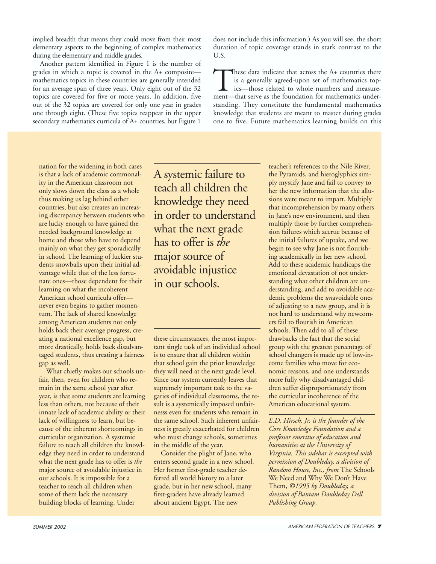implied breadth that means they could move from their most elementary aspects to the beginning of complex mathematics during the elementary and middle grades.

Another pattern identified in Figure 1 is the number of grades in which a topic is covered in the A+ composite mathematics topics in these countries are generally intended for an average span of three years. Only eight out of the 32 topics are covered for five or more years. In addition, five out of the 32 topics are covered for only one year in grades one through eight. (These five topics reappear in the upper secondary mathematics curricula of A+ countries, but Figure 1

does not include this information.) As you will see, the short duration of topic coverage stands in stark contrast to the U.S.

These data indicate that across the A+ countries there is a generally agreed-upon set of mathematics top-<br>ics—those related to whole numbers and measure-<br>ment—that serve as the foundation for mathematics underis a generally agreed-upon set of mathematics topics—those related to whole numbers and measurestanding. They constitute the fundamental mathematics knowledge that students are meant to master during grades one to five. Future mathematics learning builds on this

nation for the widening in both cases is that a lack of academic commonality in the American classroom not only slows down the class as a whole thus making us lag behind other countries, but also creates an increasing discrepancy between students who are lucky enough to have gained the needed background knowledge at home and those who have to depend mainly on what they get sporadically in school. The learning of luckier students snowballs upon their initial advantage while that of the less fortunate ones—those dependent for their learning on what the incoherent American school curricula offer never even begins to gather momentum. The lack of shared knowledge among American students not only holds back their average progress, creating a national excellence gap, but more drastically, holds back disadvantaged students, thus creating a fairness gap as well.

What chiefly makes our schools unfair, then, even for children who remain in the same school year after year, is that some students are learning less than others, not because of their innate lack of academic ability or their lack of willingness to learn, but because of the inherent shortcomings in curricular organization. A systemic failure to teach all children the knowledge they need in order to understand what the next grade has to offer is *the* major source of avoidable injustice in our schools. It is impossible for a teacher to reach all children when some of them lack the necessary building blocks of learning. Under

A systemic failure to teach all children the knowledge they need in order to understand what the next grade has to offer is *the* major source of avoidable injustice in our schools.

these circumstances, the most important single task of an individual school is to ensure that all children within that school gain the prior knowledge they will need at the next grade level. Since our system currently leaves that supremely important task to the vagaries of individual classrooms, the result is a systemically imposed unfairnesss even for students who remain in the same school. Such inherent unfairness is greatly exacerbated for children who must change schools, sometimes in the middle of the year.

Consider the plight of Jane, who enters second grade in a new school. Her former first-grade teacher deferred all world history to a later grade, but in her new school, many first-graders have already learned about ancient Egypt. The new

teacher's references to the Nile River, the Pyramids, and hieroglyphics simply mystify Jane and fail to convey to her the new information that the allusions were meant to impart. Multiply that incomprehension by many others in Jane's new environment, and then multiply those by further comprehension failures which accrue because of the initial failures of uptake, and we begin to see why Jane is not flourishing academically in her new school. Add to these academic handicaps the emotional devastation of not understanding what other children are understanding, and add to avoidable academic problems the *un*avoidable ones of adjusting to a new group, and it is not hard to understand why newcomers fail to flourish in American schools. Then add to all of these drawbacks the fact that the social group with the greatest percentage of school changers is made up of low-income families who move for economic reasons, and one understands more fully why disadvantaged children suffer disproportionately from the curricular incoherence of the American educational system.

*E.D. Hirsch, Jr. is the founder of the Core Knowledge Foundation and a professor emeritus of education and humanities at the University of Virginia. This sidebar is excerpted with permission of Doubleday, a division of Random House, Inc., from* The Schools We Need and Why We Don't Have Them, *©1995 by Doubleday, a division of Bantam Doubleday Dell Publishing Group.*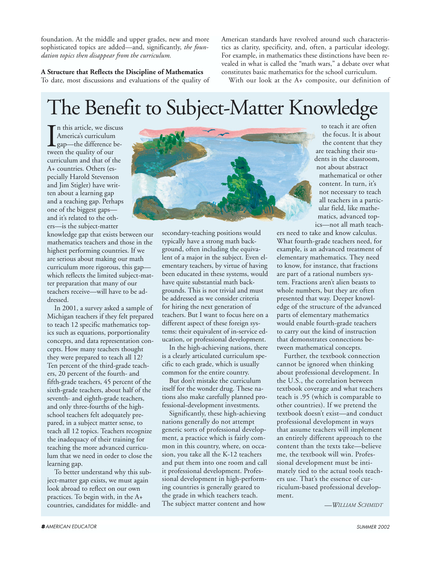foundation. At the middle and upper grades, new and more sophisticated topics are added—and, significantly, *the foundation topics then disappear from the curriculum.*

**A Structure that Reflects the Discipline of Mathematics**  To date, most discussions and evaluations of the quality of American standards have revolved around such characteristics as clarity, specificity, and, often, a particular ideology. For example, in mathematics these distinctions have been revealed in what is called the "math wars," a debate over what constitutes basic mathematics for the school curriculum.

With our look at the A+ composite, our definition of

# The Benefit to Subject-Matter Knowledge

I<sub>twe</sub> n this article, we discuss America's curriculum gap—the difference between the quality of our curriculum and that of the A+ countries. Others (especially Harold Stevenson and Jim Stigler) have written about a learning gap and a teaching gap. Perhaps one of the biggest gaps and it's related to the others—is the subject-matter

knowledge gap that exists between our mathematics teachers and those in the highest performing countries. If we are serious about making our math curriculum more rigorous, this gap which reflects the limited subject-matter preparation that many of our teachers receive—will have to be addressed.

In 2001, a survey asked a sample of Michigan teachers if they felt prepared to teach 12 specific mathematics topics such as equations, porportionality concepts, and data representation concepts. How many teachers thought they were prepared to teach all 12? Ten percent of the third-grade teachers, 20 percent of the fourth- and fifth-grade teachers, 45 percent of the sixth-grade teachers, about half of the seventh- and eighth-grade teachers, and only three-fourths of the highschool teachers felt adequately prepared, in a subject matter sense, to teach all 12 topics. Teachers recognize the inadequacy of their training for teaching the more advanced curriculum that we need in order to close the learning gap.

To better understand why this subject-matter gap exists, we must again look abroad to reflect on our own practices. To begin with, in the A+ countries, candidates for middle- and

secondary-teaching positions would typically have a strong math background, often including the equivalent of a major in the subject. Even elementary teachers, by virtue of having been educated in these systems, would have quite substantial math backgrounds. This is not trivial and must be addressed as we consider criteria for hiring the next generation of teachers. But I want to focus here on a different aspect of these foreign systems: their equivalent of in-service education, or professional development.

In the high-achieving nations, there is a clearly articulated curriculum specific to each grade, which is usually common for the entire country.

But don't mistake the curriculum itself for the wonder drug. These nations also make carefully planned professional-development investments.

Significantly, these high-achieving nations generally do not attempt generic sorts of professional development, a practice which is fairly common in this country, where, on occasion, you take all the K-12 teachers and put them into one room and call it professional development. Professional development in high-performing countries is generally geared to the grade in which teachers teach. The subject matter content and how

to teach it are often the focus. It is about the content that they are teaching their students in the classroom, not about abstract mathematical or other content. In turn, it's not necessary to teach all teachers in a particular field, like mathematics, advanced topics—not all math teach-

ers need to take and know calculus. What fourth-grade teachers need, for example, is an advanced treatment of elementary mathematics. They need to know, for instance, that fractions are part of a rational numbers system. Fractions aren't alien beasts to whole numbers, but they are often presented that way. Deeper knowledge of the structure of the advanced parts of elementary mathematics would enable fourth-grade teachers to carry out the kind of instruction that demonstrates connections between mathematical concepts.

Further, the textbook connection cannot be ignored when thinking about professional development. In the U.S., the correlation between textbook coverage and what teachers teach is .95 (which is comparable to other countries). If we pretend the textbook doesn't exist—and conduct professional development in ways that assume teachers will implement an entirely different approach to the content than the texts take—believe me, the textbook will win. Professional development must be intimately tied to the actual tools teachers use. That's the essence of curriculum-based professional development.

*—WILLIAM SCHMIDT*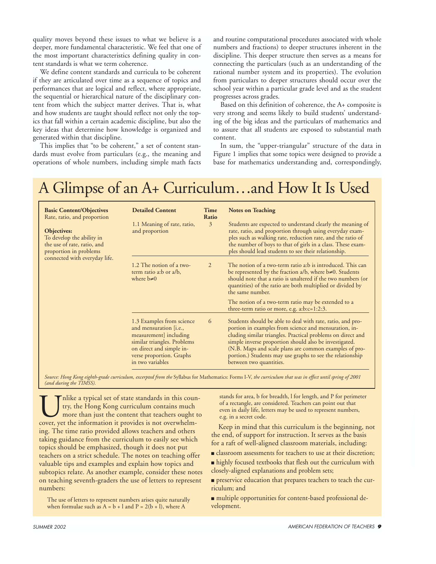quality moves beyond these issues to what we believe is a deeper, more fundamental characteristic. We feel that one of the most important characteristics defining quality in content standards is what we term coherence.

We define content standards and curricula to be coherent if they are articulated over time as a sequence of topics and performances that are logical and reflect, where appropriate, the sequential or hierarchical nature of the disciplinary content from which the subject matter derives. That is, what and how students are taught should reflect not only the topics that fall within a certain academic discipline, but also the key ideas that determine how knowledge is organized and generated within that discipline.

This implies that "to be coherent," a set of content standards must evolve from particulars (e.g., the meaning and operations of whole numbers, including simple math facts and routine computational procedures associated with whole numbers and fractions) to deeper structures inherent in the discipline. This deeper structure then serves as a means for connecting the particulars (such as an understanding of the rational number system and its properties). The evolution from particulars to deeper structures should occur over the school year within a particular grade level and as the student progresses across grades.

Based on this definition of coherence, the A+ composite is very strong and seems likely to build students' understanding of the big ideas and the particulars of mathematics and to assure that all students are exposed to substantial math content.

In sum, the "upper-triangular" structure of the data in Figure 1 implies that some topics were designed to provide a base for mathematics understanding and, correspondingly,

# A Glimpse of an A+ Curriculum…and How It Is Used

| <b>Basic Content/Objectives</b><br>Rate, ratio, and proportion<br>Objectives:<br>To develop the ability in<br>the use of rate, ratio, and<br>proportion in problems<br>connected with everyday life. | <b>Detailed Content</b><br>1.1 Meaning of rate, ratio,<br>and proportion                                                                                                                | Time<br>Ratio<br>$\mathfrak{Z}$ | <b>Notes on Teaching</b><br>Students are expected to understand clearly the meaning of<br>rate, ratio, and proportion through using everyday exam-<br>ples such as walking rate, reduction rate, and the ratio of<br>the number of boys to that of girls in a class. These exam-<br>ples should lead students to see their relationship.                                                       |
|------------------------------------------------------------------------------------------------------------------------------------------------------------------------------------------------------|-----------------------------------------------------------------------------------------------------------------------------------------------------------------------------------------|---------------------------------|------------------------------------------------------------------------------------------------------------------------------------------------------------------------------------------------------------------------------------------------------------------------------------------------------------------------------------------------------------------------------------------------|
|                                                                                                                                                                                                      | 1.2 The notion of a two-<br>term ratio a:b or a/b,<br>where $b\neq 0$                                                                                                                   | $\overline{2}$                  | The notion of a two-term ratio a:b is introduced. This can<br>be represented by the fraction $a/b$ , where $b \neq 0$ . Students<br>should note that a ratio is unaltered if the two numbers (or<br>quantities) of the ratio are both multiplied or divided by<br>the same number.                                                                                                             |
|                                                                                                                                                                                                      |                                                                                                                                                                                         |                                 | The notion of a two-term ratio may be extended to a<br>three-term ratio or more, e.g. a:b:c=1:2:3.                                                                                                                                                                                                                                                                                             |
|                                                                                                                                                                                                      | 1.3 Examples from science<br>and mensuration [i.e.,<br>measurement including<br>similar triangles. Problems<br>on direct and simple in-<br>verse proportion. Graphs<br>in two variables | 6                               | Students should be able to deal with rate, ratio, and pro-<br>portion in examples from science and mensuration, in-<br>cluding similar triangles. Practical problems on direct and<br>simple inverse proportion should also be investigated.<br>(N.B. Maps and scale plans are common examples of pro-<br>portion.) Students may use graphs to see the relationship<br>between two quantities. |

*Source: Hong Kong eighth-grade curriculum, excerpted from the* Syllabus for Mathematics: Forms I-V, *the curriculum that was in effect until spring of 2001 (and during the TIMSS).*

nlike a typical set of state standards in this country, the Hong Kong curriculum contains much more than just the content that teachers ought to cover, yet the information it provides is not overwhelming. The time ratio provided allows teachers and others taking guidance from the curriculum to easily see which topics should be emphasized, though it does not put teachers on a strict schedule. The notes on teaching offer valuable tips and examples and explain how topics and subtopics relate. As another example, consider these notes on teaching seventh-graders the use of letters to represent numbers:

The use of letters to represent numbers arises quite naturally when formulae such as  $A = b + 1$  and  $P = 2(b + 1)$ , where A

stands for area, b for breadth, l for length, and P for perimeter of a rectangle, are considered. Teachers can point out that even in daily life, letters may be used to represent numbers, e.g. in a secret code.

Keep in mind that this curriculum is the beginning, not the end, of support for instruction. It serves as the basis for a raft of well-aligned classroom materials, including:

■ classroom assessments for teachers to use at their discretion;

■ highly focused textbooks that flesh out the curriculum with closely-aligned explanations and problem sets;

■ preservice education that prepares teachers to teach the curriculum; and

■ multiple opportunities for content-based professional development.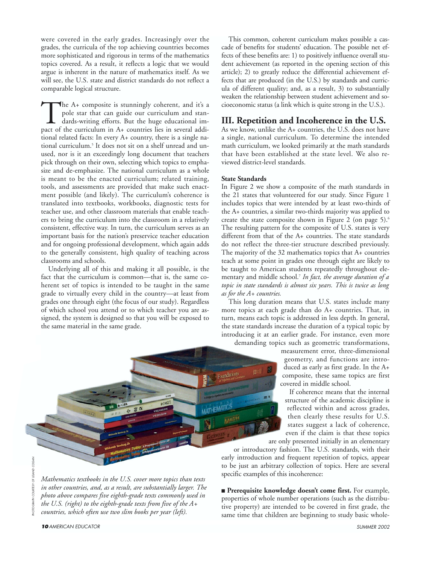were covered in the early grades. Increasingly over the grades, the curricula of the top achieving countries becomes more sophisticated and rigorous in terms of the mathematics topics covered. As a result, it reflects a logic that we would argue is inherent in the nature of mathematics itself. As we will see, the U.S. state and district standards do not reflect a comparable logical structure.

The A+ composite is stunningly coherent, and it's a pole star that can guide our curriculum and stan-<br>dards-writing efforts. But the huge educational im-<br>pact of the curriculum in A+ countries lies in several addipole star that can guide our curriculum and standards-writing efforts. But the huge educational impact of the curriculum in A+ countries lies in several additional related facts: In every A+ country, there is a single national curriculum.<sup>5</sup> It does not sit on a shelf unread and unused, nor is it an exceedingly long document that teachers pick through on their own, selecting which topics to emphasize and de-emphasize. The national curriculum as a whole is meant to be the enacted curriculum; related training, tools, and assessments are provided that make such enactment possible (and likely). The curriculum's coherence is translated into textbooks, workbooks, diagnostic tests for teacher use, and other classroom materials that enable teachers to bring the curriculum into the classroom in a relatively consistent, effective way. In turn, the curriculum serves as an important basis for the nation's preservice teacher education and for ongoing professional development, which again adds to the generally consistent, high quality of teaching across classrooms and schools.

Underlying all of this and making it all possible, is the fact that the curriculum is common—that is, the same coherent set of topics is intended to be taught in the same grade to virtually every child in the country—at least from grades one through eight (the focus of our study). Regardless of which school you attend or to which teacher you are assigned, the system is designed so that you will be exposed to the same material in the same grade.

*Mathematics textbooks in the U.S. cover more topics than texts in other countries, and, as a result, are substantially larger. The photo above compares five eighth-grade texts commonly used in the U.S. (right) to the eighth-grade texts from five of the A+ countries, which often use two slim books per year (left).*

This common, coherent curriculum makes possible a cascade of benefits for students' education. The possible net effects of these benefits are: 1) to positively influence overall student achievement (as reported in the opening section of this article); 2) to greatly reduce the differential achievement effects that are produced (in the U.S.) by standards and curricula of different quality; and, as a result, 3) to substantially weaken the relationship between student achievement and socioeconomic status (a link which is quite strong in the U.S.).

#### **III. Repetition and Incoherence in the U.S.**

As we know, unlike the A+ countries, the U.S. does not have a single, national curriculum. To determine the intended math curriculum, we looked primarily at the math standards that have been established at the state level. We also reviewed district-level standards.

#### **State Standards**

In Figure 2 we show a composite of the math standards in the 21 states that volunteered for our study. Since Figure 1 includes topics that were intended by at least two-thirds of the A+ countries, a similar two-thirds majority was applied to create the state composite shown in Figure 2 (on page 5).<sup>6</sup> The resulting pattern for the composite of U.S. states is very different from that of the A+ countries. The state standards do not reflect the three-tier structure described previously. The majority of the 32 mathematics topics that A+ countries teach at some point in grades one through eight are likely to be taught to American students repeatedly throughout elementary and middle school.7 *In fact, the average duration of a topic in state standards is almost six years. This is twice as long as for the A+ countries.*

This long duration means that U.S. states include many more topics at each grade than do A+ countries. That, in turn, means each topic is addressed in less depth. In general, the state standards increase the duration of a typical topic by introducing it at an earlier grade. For instance, even more

demanding topics such as geometric transformations,

measurement error, three-dimensional geometry, and functions are introduced as early as first grade. In the A+ composite, these same topics are first covered in middle school.

If coherence means that the internal structure of the academic discipline is reflected within and across grades, then clearly these results for U.S. states suggest a lack of coherence, even if the claim is that these topics are only presented initially in an elementary

or introductory fashion. The U.S. standards, with their early introduction and frequent repetition of topics, appear to be just an arbitrary collection of topics. Here are several specific examples of this incoherence:

■ **Prerequisite knowledge doesn't come first.** For example, properties of whole number operations (such as the distributive property) are intended to be covered in first grade, the same time that children are beginning to study basic whole-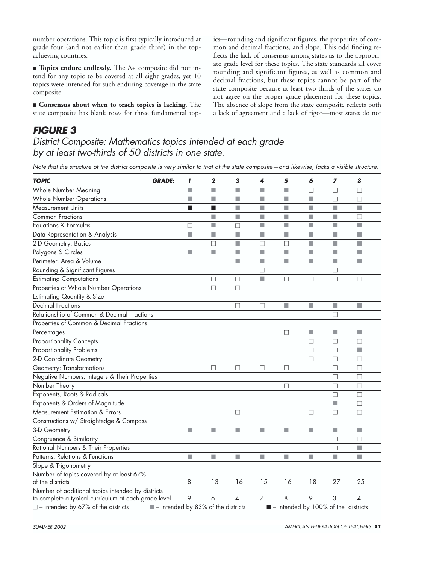number operations. This topic is first typically introduced at grade four (and not earlier than grade three) in the topachieving countries.

■ **Topics endure endlessly.** The A+ composite did not intend for any topic to be covered at all eight grades, yet 10 topics were intended for such enduring coverage in the state composite.

■ **Consensus about when to teach topics is lacking.** The state composite has blank rows for three fundamental topics—rounding and significant figures, the properties of common and decimal fractions, and slope. This odd finding reflects the lack of consensus among states as to the appropriate grade level for these topics. The state standards all cover rounding and significant figures, as well as common and decimal fractions, but these topics cannot be part of the state composite because at least two-thirds of the states do not agree on the proper grade placement for these topics. The absence of slope from the state composite reflects both a lack of agreement and a lack of rigor—most states do not

#### *FIGURE 3*

*District Composite: Mathematics topics intended at each grade by at least two-thirds of 50 districts in one state.*

*Note that the structure of the district composite is very similar to that of the state composite—and likewise, lacks a visible structure.*

| <b>TOPIC</b>                                                                                              | <b>GRADE:</b> | 1                                                                                                       | $\boldsymbol{2}$ | 3      | 4      | 5      | 6      | 7                        | 8      |
|-----------------------------------------------------------------------------------------------------------|---------------|---------------------------------------------------------------------------------------------------------|------------------|--------|--------|--------|--------|--------------------------|--------|
| Whole Number Meaning                                                                                      |               | П                                                                                                       | m.               | n.     | ш      | П      | $\Box$ | П                        | □      |
| <b>Whole Number Operations</b>                                                                            |               | ×                                                                                                       | П                | T.     | ×      | П      | m.     | $\Box$                   | □      |
| <b>Measurement Units</b>                                                                                  |               | $\blacksquare$                                                                                          | ■                | П      | H      | П      | П      | H.                       | T.     |
| <b>Common Fractions</b>                                                                                   |               |                                                                                                         | п                | П      | H      | ш      | П      | п                        | □      |
| Equations & Formulas                                                                                      |               | П                                                                                                       | T.               | $\Box$ | H      | П      | П      | H.                       | П      |
| Data Representation & Analysis                                                                            |               | ×                                                                                                       | П                | П      | H      | П      | T.     | П                        | T.     |
| 2-D Geometry: Basics                                                                                      |               |                                                                                                         | П                | m.     | П      | П      | T.     | m.                       | m.     |
| Polygons & Circles                                                                                        |               | H                                                                                                       | T.               | ×.     | H      | П      | m.     | П                        | m.     |
| Perimeter, Area & Volume                                                                                  |               |                                                                                                         |                  | H      | H      | П      | T.     | П                        | m.     |
| Rounding & Significant Figures                                                                            |               |                                                                                                         |                  |        | $\Box$ |        |        | $\Box$                   |        |
| <b>Estimating Computations</b>                                                                            |               |                                                                                                         | $\Box$           | $\Box$ | H      | $\Box$ | $\Box$ | $\Box$                   | $\Box$ |
| Properties of Whole Number Operations                                                                     |               |                                                                                                         | $\Box$           | $\Box$ |        |        |        |                          |        |
| <b>Estimating Quantity &amp; Size</b>                                                                     |               |                                                                                                         |                  |        |        |        |        |                          |        |
| <b>Decimal Fractions</b>                                                                                  |               |                                                                                                         |                  | П      | $\Box$ | П      | T.     | $\mathbb{R}^n$           | m.     |
| Relationship of Common & Decimal Fractions                                                                |               |                                                                                                         |                  |        |        |        |        | П                        |        |
| Properties of Common & Decimal Fractions                                                                  |               |                                                                                                         |                  |        |        |        |        |                          |        |
| Percentages                                                                                               |               |                                                                                                         |                  |        |        | $\Box$ | П      | П                        | П      |
| <b>Proportionality Concepts</b>                                                                           |               |                                                                                                         |                  |        |        |        | $\Box$ | $\Box$                   | $\Box$ |
| <b>Proportionality Problems</b>                                                                           |               |                                                                                                         |                  |        |        |        | $\Box$ | $\Box$                   | T.     |
| 2-D Coordinate Geometry                                                                                   |               |                                                                                                         |                  |        |        |        | $\Box$ | $\Box$                   | $\Box$ |
| Geometry: Transformations                                                                                 |               |                                                                                                         | П                | П      | П      | П      |        | П                        | П      |
| Negative Numbers, Integers & Their Properties                                                             |               |                                                                                                         |                  |        |        |        |        | П                        | □      |
| Number Theory                                                                                             |               |                                                                                                         |                  |        |        | $\Box$ |        | $\Box$                   | □      |
| Exponents, Roots & Radicals                                                                               |               |                                                                                                         |                  |        |        |        |        | $\overline{\phantom{a}}$ | $\Box$ |
| Exponents & Orders of Magnitude                                                                           |               |                                                                                                         |                  |        |        |        |        | ×                        | $\Box$ |
| Measurement Estimation & Errors                                                                           |               |                                                                                                         |                  | $\Box$ |        |        | $\Box$ | П                        | $\Box$ |
| Constructions w/ Straightedge & Compass                                                                   |               |                                                                                                         |                  |        |        |        |        |                          |        |
| 3-D Geometry                                                                                              |               | П                                                                                                       | T.               | П      | T.     | П      | П      | T.                       | m.     |
| Congruence & Similarity                                                                                   |               |                                                                                                         |                  |        |        |        |        | $\Box$                   | □      |
| Rational Numbers & Their Properties                                                                       |               |                                                                                                         |                  |        |        |        |        | □                        | П      |
| Patterns, Relations & Functions                                                                           |               | T.                                                                                                      | T.               | П      | T.     | H      | П      | m.                       | П      |
| Slope & Trigonometry                                                                                      |               |                                                                                                         |                  |        |        |        |        |                          |        |
| Number of topics covered by at least 67%                                                                  |               |                                                                                                         |                  |        |        |        |        |                          |        |
| of the districts                                                                                          |               | 8                                                                                                       | 13               | 16     | 15     | 16     | 18     | 27                       | 25     |
| Number of additional topics intended by districts<br>to complete a typical curriculum at each grade level |               | 9                                                                                                       | 6                | 4      | 7      | 8      | 9      | 3                        | 4      |
| $\Box$ – intended by 67% of the districts                                                                 |               | $\blacksquare$ - intended by 100% of the districts<br>$\blacksquare$ - intended by 83% of the districts |                  |        |        |        |        |                          |        |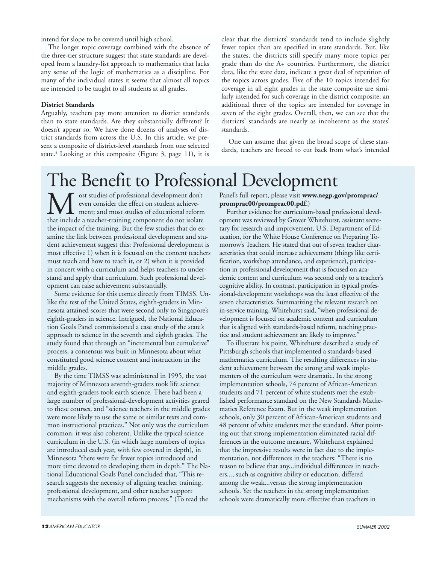intend for slope to be covered until high school.

The longer topic coverage combined with the absence of the three-tier structure suggest that state standards are developed from a laundry-list approach to mathematics that lacks any sense of the logic of mathematics as a discipline. For many of the individual states it seems that almost all topics are intended to be taught to all students at all grades.

#### **District Standards**

Arguably, teachers pay more attention to district standards than to state standards. Are they substantially different? It doesn't appear so. We have done dozens of analyses of district standards from across the U.S. In this article, we present a composite of district-level standards from one selected state.<sup>8</sup> Looking at this composite (Figure 3, page 11), it is clear that the districts' standards tend to include slightly fewer topics than are specified in state standards. But, like the states, the districts still specify many more topics per grade than do the A+ countries. Furthermore, the district data, like the state data, indicate a great deal of repetition of the topics across grades. Five of the 10 topics intended for coverage in all eight grades in the state composite are similarly intended for such coverage in the district composite; an additional three of the topics are intended for coverage in seven of the eight grades. Overall, then, we can see that the districts' standards are nearly as incoherent as the states' standards.

One can assume that given the broad scope of these standards, teachers are forced to cut back from what's intended

# The Benefit to Professional Development<br>
The set studies of professional development don't Panel's full report, please visit www.negp.go

**M** ost studies of professional development don't even consider the effect on student achieve-<br>ment; and most studies of educational reform<br>that include a teacher-training component do not isolate even consider the effect on student achievement; and most studies of educational reform the impact of the training. But the few studies that do examine the link between professional development and student achievement suggest this: Professional development is most effective 1) when it is focused on the content teachers must teach and how to teach it, or 2) when it is provided in concert with a curriculum and helps teachers to understand and apply that curriculum. Such professional development can raise achievement substantially.

Some evidence for this comes directly from TIMSS. Unlike the rest of the United States, eighth-graders in Minnesota attained scores that were second only to Singapore's eighth-graders in science. Intrigued, the National Education Goals Panel commissioned a case study of the state's approach to science in the seventh and eighth grades. The study found that through an "incremental but cumulative" process, a consensus was built in Minnesota about what constituted good science content and instruction in the middle grades.

By the time TIMSS was administered in 1995, the vast majority of Minnesota seventh-graders took life science and eighth-graders took earth science. There had been a large number of professional-development activities geared to these courses, and "science teachers in the middle grades were more likely to use the same or similar texts and common instructional practices." Not only was the curriculum common, it was also coherent. Unlike the typical science curriculum in the U.S. (in which large numbers of topics are introduced each year, with few covered in depth), in Minnesota "there were far fewer topics introduced and more time devoted to developing them in depth." The National Educational Goals Panel concluded that, "This research suggests the necessity of aligning teacher training, professional development, and other teacher support mechanisms with the overall reform process." (To read the

Panel's full report, please visit **www.negp.gov/promprac/ promprac00/promprac00.pdf**.)

Further evidence for curriculum-based professional development was reviewed by Grover Whitehurst, assistant secretary for research and improvement, U.S. Department of Education, for the White House Conference on Preparing Tomorrow's Teachers. He stated that out of seven teacher characteristics that could increase achievement (things like certification, workshop attendance, and experience), participation in professional development that is focused on academic content and curriculum was second only to a teacher's cognitive ability. In contrast, participation in typical professional-development workshops was the least effective of the seven characteristics. Summarizing the relevant research on in-service training, Whitehurst said, "when professional development is focused on academic content and curriculum that is aligned with standards-based reform, teaching practice and student achievement are likely to improve."

To illustrate his point, Whitehurst described a study of Pittsburgh schools that implemented a standards-based mathematics curriculum. The resulting differences in student achievement between the strong and weak implementers of the curriculum were dramatic. In the strong implementation schools, 74 percent of African-American students and 71 percent of white students met the established performance standard on the New Standards Mathematics Reference Exam. But in the weak implementation schools, only 30 percent of African-American students and 48 percent of white students met the standard. After pointing out that strong implementation eliminated racial differences in the outcome measure, Whitehurst explained that the impressive results were in fact due to the implementation, not differences in the teachers: "There is no reason to believe that any...individual differences in teachers..., such as cognitive ability or education, differed among the weak...versus the strong implementation schools. Yet the teachers in the strong implementation schools were dramatically more effective than teachers in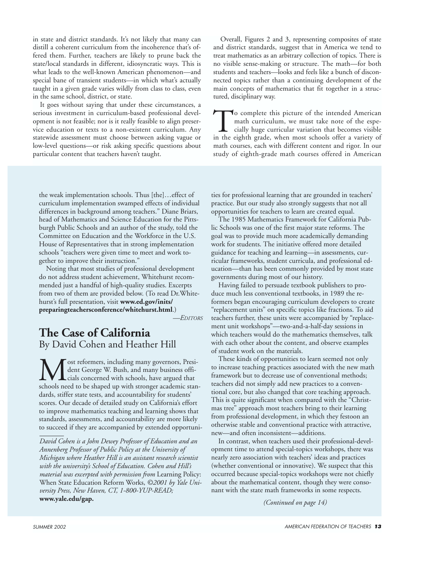in state and district standards. It's not likely that many can distill a coherent curriculum from the incoherence that's offered them. Further, teachers are likely to prune back the state/local standards in different, idiosyncratic ways. This is what leads to the well-known American phenomenon—and special bane of transient students—in which what's actually taught in a given grade varies wildly from class to class, even in the same school, district, or state.

It goes without saying that under these circumstances, a serious investment in curriculum-based professional development is not feasible; nor is it really feasible to align preservice education or texts to a non-existent curriculum. Any statewide assessment must choose between asking vague or low-level questions—or risk asking specific questions about particular content that teachers haven't taught.

Overall, Figures 2 and 3, representing composites of state and district standards, suggest that in America we tend to treat mathematics as an arbitrary collection of topics. There is no visible sense-making or structure. The math—for both students and teachers—looks and feels like a bunch of disconnected topics rather than a continuing development of the main concepts of mathematics that fit together in a structured, disciplinary way.

To complete this picture of the intended American math curriculum, we must take note of the especially huge curricular variation that becomes visible in the eighth grade, when most schools offer a variety of math curriculum, we must take note of the especially huge curricular variation that becomes visible math courses, each with different content and rigor. In our study of eighth-grade math courses offered in American

the weak implementation schools. Thus [the]…effect of curriculum implementation swamped effects of individual differences in background among teachers." Diane Briars, head of Mathematics and Science Education for the Pittsburgh Public Schools and an author of the study, told the Committee on Education and the Workforce in the U.S. House of Representatives that in strong implementation schools "teachers were given time to meet and work together to improve their instruction."

Noting that most studies of professional development do not address student achievement, Whitehurst recommended just a handful of high-quality studies. Excerpts from two of them are provided below. (To read Dr.Whitehurst's full presentation, visit **www.ed.gov/inits/ preparingteachersconference/whitehurst.html**.)

*—EDITORS*

### **The Case of California** By David Cohen and Heather Hill

**M** ost reformers, including many governors, President George W. Bush, and many business officials concerned with schools, have argued that schools need to be shaped up with stronger academic stan dent George W. Bush, and many business officials concerned with schools, have argued that schools need to be shaped up with stronger academic standards, stiffer state tests, and accountability for students' scores. Our decade of detailed study on California's effort to improve mathematics teaching and learning shows that standards, assessments, and accountability are more likely to succeed if they are accompanied by extended opportuni-

*David Cohen is a John Dewey Professor of Education and an Annenberg Professor of Public Policy at the University of Michigan where Heather Hill is an assistant research scientist with the university's School of Education. Cohen and Hill's material was excerpted with permission from* Learning Policy: When State Education Reform Works, *©2001 by Yale University Press, New Haven, CT, 1-800-YUP-READ;* **www.yale.edu/gap.** *(Continued on page 14)*

ties for professional learning that are grounded in teachers' practice. But our study also strongly suggests that not all opportunities for teachers to learn are created equal.

The 1985 Mathematics Framework for California Public Schools was one of the first major state reforms. The goal was to provide much more academically demanding work for students. The initiative offered more detailed guidance for teaching and learning—in assessments, curricular frameworks, student curricula, and professional education—than has been commonly provided by most state governments during most of our history.

Having failed to persuade textbook publishers to produce much less conventional textbooks, in 1989 the reformers began encouraging curriculum developers to create "replacement units" on specific topics like fractions. To aid teachers further, these units were accompanied by "replacement unit workshops"—two-and-a-half-day sessions in which teachers would do the mathematics themselves, talk with each other about the content, and observe examples of student work on the materials.

These kinds of opportunities to learn seemed not only to increase teaching practices associated with the new math framework but to decrease use of conventional methods; teachers did not simply add new practices to a conventional core, but also changed that core teaching approach. This is quite significant when compared with the "Christmas tree" approach most teachers bring to their learning from professional development, in which they festoon an otherwise stable and conventional practice with attractive, new—and often inconsistent—additions.

In contrast, when teachers used their professional-development time to attend special-topics workshops, there was nearly zero association with teachers' ideas and practices (whether conventional or innovative). We suspect that this occurred because special-topics workshops were not chiefly about the mathematical content, though they were consonant with the state math frameworks in some respects.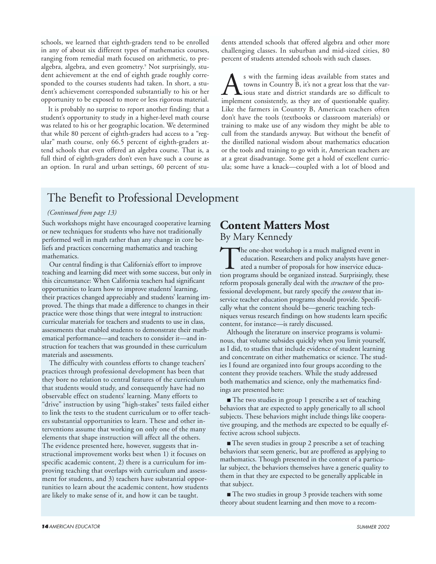schools, we learned that eighth-graders tend to be enrolled in any of about six different types of mathematics courses, ranging from remedial math focused on arithmetic, to prealgebra, algebra, and even geometry.<sup>9</sup> Not surprisingly, student achievement at the end of eighth grade roughly corresponded to the courses students had taken. In short, a student's achievement corresponded substantially to his or her opportunity to be exposed to more or less rigorous material.

It is probably no surprise to report another finding: that a student's opportunity to study in a higher-level math course was related to his or her geographic location. We determined that while 80 percent of eighth-graders had access to a "regular" math course, only 66.5 percent of eighth-graders attend schools that even offered an algebra course. That is, a full third of eighth-graders don't even have such a course as an option. In rural and urban settings, 60 percent of students attended schools that offered algebra and other more challenging classes. In suburban and mid-sized cities, 80 percent of students attended schools with such classes.

s with the farming ideas available from states and<br>towns in Country B, it's not a great loss that the var-<br>implement consistently, as they are of questionable quality. towns in Country B, it's not a great loss that the various state and district standards are so difficult to implement consistently, as they are of questionable quality. Like the farmers in Country B, American teachers often don't have the tools (textbooks or classroom materials) or training to make use of any wisdom they might be able to cull from the standards anyway. But without the benefit of the distilled national wisdom about mathematics education or the tools and training to go with it, American teachers are at a great disadvantage. Some get a hold of excellent curricula; some have a knack—coupled with a lot of blood and

### The Benefit to Professional Development

#### *(Continued from page 13)*

Such workshops might have encouraged cooperative learning or new techniques for students who have not traditionally performed well in math rather than any change in core beliefs and practices concerning mathematics and teaching mathematics.

Our central finding is that California's effort to improve teaching and learning did meet with some success, but only in this circumstance: When California teachers had significant opportunities to learn how to improve students' learning, their practices changed appreciably and students' learning improved. The things that made a difference to changes in their practice were those things that were integral to instruction: curricular materials for teachers and students to use in class, assessments that enabled students to demonstrate their mathematical performance—and teachers to consider it—and instruction for teachers that was grounded in these curriculum materials and assessments.

The difficulty with countless efforts to change teachers' practices through professional development has been that they bore no relation to central features of the curriculum that students would study, and consequently have had no observable effect on students' learning. Many efforts to "drive" instruction by using "high-stakes" tests failed either to link the tests to the student curriculum or to offer teachers substantial opportunities to learn. These and other interventions assume that working on only one of the many elements that shape instruction will affect all the others. The evidence presented here, however, suggests that instructional improvement works best when 1) it focuses on specific academic content, 2) there is a curriculum for improving teaching that overlaps with curriculum and assessment for students, and 3) teachers have substantial opportunities to learn about the academic content, how students are likely to make sense of it, and how it can be taught.

### **Content Matters Most** By Mary Kennedy

The one-shot workshop is a much maligned event in education. Researchers and policy analysts have generated a number of proposals for how inservice education programs should be organized instead. Surprisingly, these reform proposals generally deal with the *structure* of the professional development, but rarely specify the *content* that inservice teacher education programs should provide. Specifically what the content should be—generic teaching techniques versus research findings on how students learn specific content, for instance—is rarely discussed.

Although the literature on inservice programs is voluminous, that volume subsides quickly when you limit yourself, as I did, to studies that include evidence of student learning and concentrate on either mathematics or science. The studies I found are organized into four groups according to the content they provide teachers. While the study addressed both mathematics and science, only the mathematics findings are presented here:

■ The two studies in group 1 prescribe a set of teaching behaviors that are expected to apply generically to all school subjects. These behaviors might include things like cooperative grouping, and the methods are expected to be equally effective across school subjects.

■ The seven studies in group 2 prescribe a set of teaching behaviors that seem generic, but are proffered as applying to mathematics. Though presented in the context of a particular subject, the behaviors themselves have a generic quality to them in that they are expected to be generally applicable in that subject.

■ The two studies in group 3 provide teachers with some theory about student learning and then move to a recom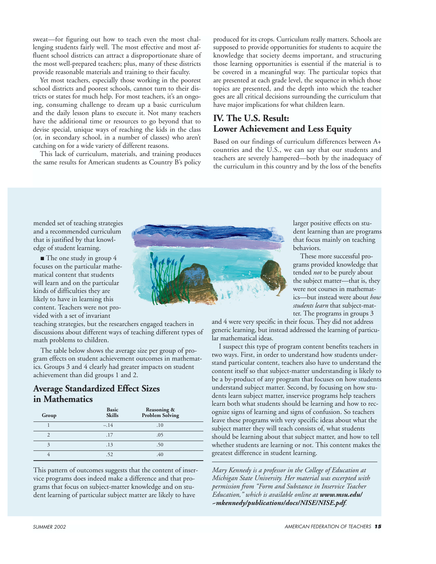sweat—for figuring out how to teach even the most challenging students fairly well. The most effective and most affluent school districts can attract a disproportionate share of the most well-prepared teachers; plus, many of these districts provide reasonable materials and training to their faculty.

Yet most teachers, especially those working in the poorest school districts and poorest schools, cannot turn to their districts or states for much help. For most teachers, it's an ongoing, consuming challenge to dream up a basic curriculum and the daily lesson plans to execute it. Not many teachers have the additional time or resources to go beyond that to devise special, unique ways of reaching the kids in the class (or, in secondary school, in a number of classes) who aren't catching on for a wide variety of different reasons.

This lack of curriculum, materials, and training produces the same results for American students as Country B's policy produced for its crops. Curriculum really matters. Schools are supposed to provide opportunities for students to acquire the knowledge that society deems important, and structuring those learning opportunities is essential if the material is to be covered in a meaningful way. The particular topics that are presented at each grade level, the sequence in which those topics are presented, and the depth into which the teacher goes are all critical decisions surrounding the curriculum that have major implications for what children learn.

#### **IV. The U.S. Result: Lower Achievement and Less Equity**

Based on our findings of curriculum differences between A+ countries and the U.S., we can say that our students and teachers are severely hampered—both by the inadequacy of the curriculum in this country and by the loss of the benefits

mended set of teaching strategies and a recommended curriculum that is justified by that knowledge of student learning.

■ The one study in group 4 focuses on the particular mathematical content that students will learn and on the particular kinds of difficulties they are likely to have in learning this content. Teachers were not provided with a set of invariant

teaching strategies, but the researchers engaged teachers in discussions about different ways of teaching different types of math problems to children.

The table below shows the average size per group of program effects on student achievement outcomes in mathematics. Groups 3 and 4 clearly had greater impacts on student achievement than did groups 1 and 2.

#### **Average Standardized Effect Sizes in Mathematics**

| Group | <b>Basic</b><br><b>Skills</b> | Reasoning &<br>Problem Solving |  |
|-------|-------------------------------|--------------------------------|--|
|       | $-.14$                        | .10                            |  |
|       | .17                           | .05                            |  |
| 3     | .13                           | .50                            |  |
|       | .52                           | .40                            |  |

This pattern of outcomes suggests that the content of inservice programs does indeed make a difference and that programs that focus on subject-matter knowledge and on student learning of particular subject matter are likely to have



larger positive effects on student learning than are programs that focus mainly on teaching behaviors.

These more successful programs provided knowledge that tended *not* to be purely about the subject matter—that is, they were not courses in mathematics—but instead were about *how students learn* that subject-matter. The programs in groups 3

and 4 were very specific in their focus. They did not address generic learning, but instead addressed the learning of particular mathematical ideas.

I suspect this type of program content benefits teachers in two ways. First, in order to understand how students understand particular content, teachers also have to understand the content itself so that subject-matter understanding is likely to be a by-product of any program that focuses on how students understand subject matter. Second, by focusing on how students learn subject matter, inservice programs help teachers learn both what students should be learning and how to recognize signs of learning and signs of confusion. So teachers leave these programs with very specific ideas about what the subject matter they will teach consists of, what students should be learning about that subject matter, and how to tell whether students are learning or not. This content makes the greatest difference in student learning.

*Mary Kennedy is a professor in the College of Education at Michigan State University. Her material was excerpted with permission from "Form and Substance in Inservice Teacher Education," which is available online at www.msu.edu/ ~mkennedy/publications/docs/NISE/NISE.pdf.*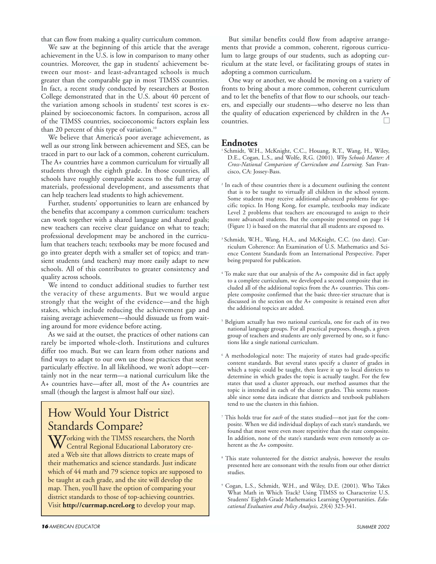that can flow from making a quality curriculum common.

We saw at the beginning of this article that the average achievement in the U.S. is low in comparison to many other countries. Moreover, the gap in students' achievement between our most- and least-advantaged schools is much greater than the comparable gap in most TIMSS countries. In fact, a recent study conducted by researchers at Boston College demonstrated that in the U.S. about 40 percent of the variation among schools in students' test scores is explained by socioeconomic factors. In comparison, across all of the TIMSS countries, socioeconomic factors explain less than 20 percent of this type of variation.<sup>10</sup>

We believe that America's poor average achievement, as well as our strong link between achievement and SES, can be traced in part to our lack of a common, coherent curriculum. The A+ countries have a common curriculum for virtually all students through the eighth grade. In those countries, all schools have roughly comparable access to the full array of materials, professional development, and assessments that can help teachers lead students to high achievement.

Further, students' opportunities to learn are enhanced by the benefits that accompany a common curriculum: teachers can work together with a shared language and shared goals; new teachers can receive clear guidance on what to teach; professional development may be anchored in the curriculum that teachers teach; textbooks may be more focused and go into greater depth with a smaller set of topics; and transient students (and teachers) may more easily adapt to new schools. All of this contributes to greater consistency and quality across schools.

We intend to conduct additional studies to further test the veracity of these arguments. But we would argue strongly that the weight of the evidence—and the high stakes, which include reducing the achievement gap and raising average achievement—should dissuade us from waiting around for more evidence before acting.

As we said at the outset, the practices of other nations can rarely be imported whole-cloth. Institutions and cultures differ too much. But we can learn from other nations and find ways to adapt to our own use those practices that seem particularly effective. In all likelihood, we won't adopt—certainly not in the near term—a national curriculum like the A+ countries have—after all, most of the A+ countries are small (though the largest is almost half our size).

### How Would Your District Standards Compare?

Working with the TIMSS researchers, the North Central Regional Educational Laboratory created a Web site that allows districts to create maps of their mathematics and science standards. Just indicate which of 44 math and 79 science topics are supposed to be taught at each grade, and the site will develop the map. Then, you'll have the option of comparing your district standards to those of top-achieving countries. Visit **http://currmap.ncrel.org** to develop your map.

But similar benefits could flow from adaptive arrangements that provide a common, coherent, rigorous curriculum to large groups of our students, such as adopting curriculum at the state level, or facilitating groups of states in adopting a common curriculum.

One way or another, we should be moving on a variety of fronts to bring about a more common, coherent curriculum and to let the benefits of that flow to our schools, our teachers, and especially our students—who deserve no less than the quality of education experienced by children in the A+ countries.

- **Endnotes**<br><sup>1</sup> Schmidt, W.H., McKnight, C.C., Houang, R.T., Wang, H., Wiley, D.E., Cogan, L.S., and Wolfe, R.G. (2001). *Why Schools Matter: A Cross-National Comparison of Curriculum and Learning.* San Francisco, CA: Jossey-Bass.
- <sup>2</sup> In each of these countries there is a document outlining the content that is to be taught to virtually all children in the school system. Some students may receive additional advanced problems for specific topics. In Hong Kong, for example, textbooks may indicate Level 2 problems that teachers are encouraged to assign to their more advanced students. But the composite presented on page 14 (Figure 1) is based on the material that all students are exposed to.
- <sup>3</sup> Schmidt, W.H., Wang, H.A., and McKnight, C.C. (no date). Curriculum Coherence: An Examination of U.S. Mathematics and Science Content Standards from an International Perspective. Paper being prepared for publication.
- <sup>4</sup> To make sure that our analysis of the A+ composite did in fact apply to a complete curriculum, we developed a second composite that included all of the additional topics from the A+ countries. This complete composite confirmed that the basic three-tier structure that is discussed in the section on the A+ composite is retained even after the additional topcics are added.
- <sup>5</sup> Belgium actually has two national curricula, one for each of its two national language groups. For all practical purposes, though, a given group of teachers and students are only governed by one, so it functions like a single national curriculum.
- <sup>6</sup> A methodological note: The majority of states had grade-specific content standards. But several states specify a cluster of grades in which a topic could be taught, then leave it up to local districts to determine in which grades the topic is actually taught. For the few states that used a cluster approach, our method assumes that the topic is intended in each of the cluster grades. This seems reasonable since some data indicate that districts and textbook publishers tend to use the clusters in this fashion.
- <sup>7</sup> This holds true for *each* of the states studied—not just for the composite. When we did individual displays of each state's standards, we found that most were even more repetitive than the state composite. In addition, none of the state's standards were even remotely as coherent as the A+ composite.
- This state volunteered for the district analysis, however the results presented here are consonant with the results from our other district studies.
- <sup>9</sup> Cogan, L.S., Schmidt, W.H., and Wiley, D.E. (2001). Who Takes What Math in Which Track? Using TIMSS to Characterize U.S. Students' Eighth-Grade Mathematics Learning Opportunities. *Educational Evaluation and Policy Analysis, 23*(4) 323-341.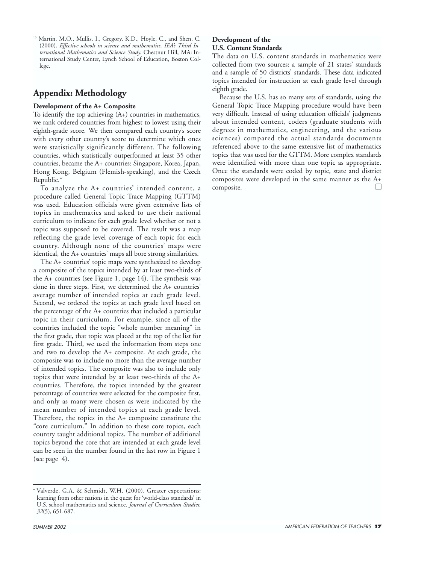<sup>10</sup> Martin, M.O., Mullis, I., Gregory, K.D., Hoyle, C., and Shen, C. (2000). *Effective schools in science and mathematics, IEA's Third International Mathematics and Science Study.* Chestnut Hill, MA: International Study Center, Lynch School of Education, Boston College.

#### **Appendix: Methodology**

#### **Development of the A+ Composite**

To identify the top achieving (A+) countries in mathematics, we rank ordered countries from highest to lowest using their eighth-grade score. We then compared each country's score with every other country's score to determine which ones were statistically significantly different. The following countries, which statistically outperformed at least 35 other countries, became the A+ countries: Singapore, Korea, Japan, Hong Kong, Belgium (Flemish-speaking), and the Czech Republic.\*

To analyze the A+ countries' intended content, a procedure called General Topic Trace Mapping (GTTM) was used. Education officials were given extensive lists of topics in mathematics and asked to use their national curriculum to indicate for each grade level whether or not a topic was supposed to be covered. The result was a map reflecting the grade level coverage of each topic for each country. Although none of the countries' maps were identical, the A+ countries' maps all bore strong similarities.

The A+ countries' topic maps were synthesized to develop a composite of the topics intended by at least two-thirds of the A+ countries (see Figure 1, page 14). The synthesis was done in three steps. First, we determined the A+ countries' average number of intended topics at each grade level. Second, we ordered the topics at each grade level based on the percentage of the A+ countries that included a particular topic in their curriculum. For example, since all of the countries included the topic "whole number meaning" in the first grade, that topic was placed at the top of the list for first grade. Third, we used the information from steps one and two to develop the A+ composite. At each grade, the composite was to include no more than the average number of intended topics. The composite was also to include only topics that were intended by at least two-thirds of the A+ countries. Therefore, the topics intended by the greatest percentage of countries were selected for the composite first, and only as many were chosen as were indicated by the mean number of intended topics at each grade level. Therefore, the topics in the A+ composite constitute the "core curriculum." In addition to these core topics, each country taught additional topics. The number of additional topics beyond the core that are intended at each grade level can be seen in the number found in the last row in Figure 1 (see page 4).

#### **Development of the U.S. Content Standards**

The data on U.S. content standards in mathematics were collected from two sources: a sample of 21 states' standards and a sample of 50 districts' standards. These data indicated topics intended for instruction at each grade level through eighth grade.

Because the U.S. has so many sets of standards, using the General Topic Trace Mapping procedure would have been very difficult. Instead of using education officials' judgments about intended content, coders (graduate students with degrees in mathematics, engineering, and the various sciences) compared the actual standards documents referenced above to the same extensive list of mathematics topics that was used for the GTTM. More complex standards were identified with more than one topic as appropriate. Once the standards were coded by topic, state and district composites were developed in the same manner as the A+ composite.

<sup>\*</sup> Valverde, G.A. & Schmidt, W.H. (2000). Greater expectations: learning from other nations in the quest for 'world-class standards' in U.S. school mathematics and science. *Journal of Curriculum Studies, 32*(5), 651-687.